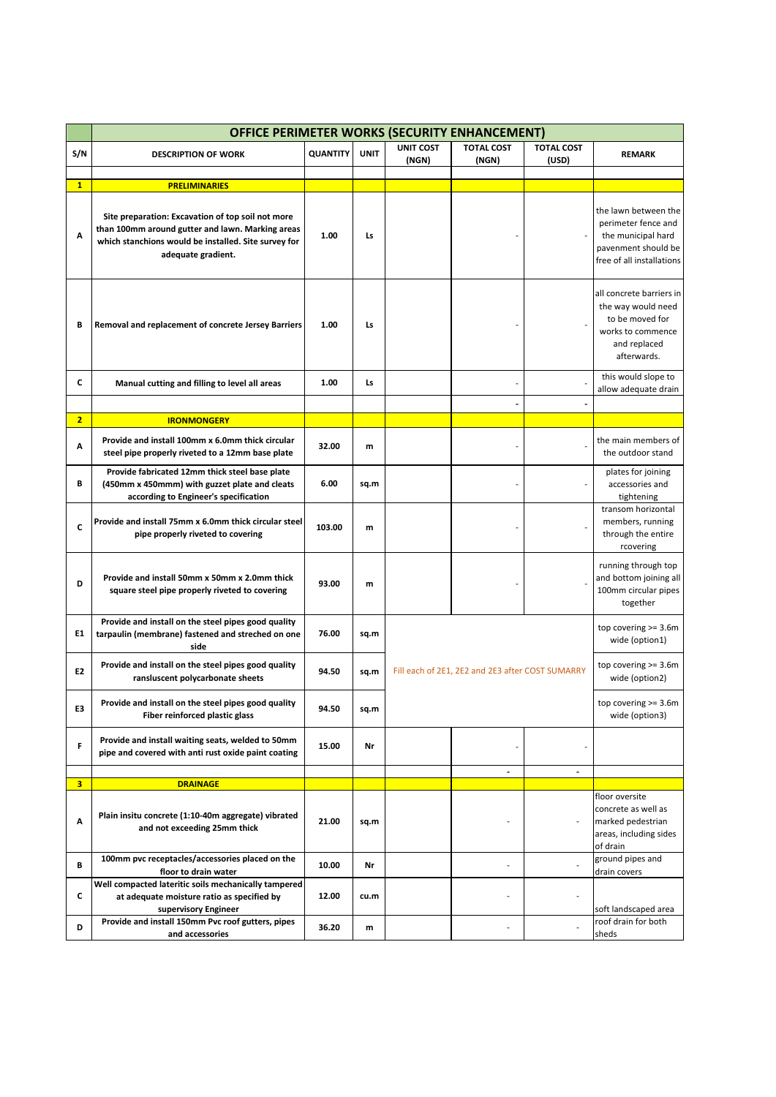|                | <b>OFFICE PERIMETER WORKS (SECURITY ENHANCEMENT)</b>                                                                                                                                |                 |             |                                                  |                            |                            |                                                                                                                       |  |  |  |
|----------------|-------------------------------------------------------------------------------------------------------------------------------------------------------------------------------------|-----------------|-------------|--------------------------------------------------|----------------------------|----------------------------|-----------------------------------------------------------------------------------------------------------------------|--|--|--|
| S/N            | <b>DESCRIPTION OF WORK</b>                                                                                                                                                          | <b>QUANTITY</b> | <b>UNIT</b> | <b>UNIT COST</b><br>(NGN)                        | <b>TOTAL COST</b><br>(NGN) | <b>TOTAL COST</b><br>(USD) | <b>REMARK</b>                                                                                                         |  |  |  |
| $\mathbf{1}$   | <b>PRELIMINARIES</b>                                                                                                                                                                |                 |             |                                                  |                            |                            |                                                                                                                       |  |  |  |
| A              | Site preparation: Excavation of top soil not more<br>than 100mm around gutter and lawn. Marking areas<br>which stanchions would be installed. Site survey for<br>adequate gradient. | 1.00            | Ls          |                                                  |                            |                            | the lawn between the<br>perimeter fence and<br>the municipal hard<br>pavenment should be<br>free of all installations |  |  |  |
| В              | Removal and replacement of concrete Jersey Barriers                                                                                                                                 | 1.00            | Ls          |                                                  |                            |                            | all concrete barriers in<br>the way would need<br>to be moved for<br>works to commence<br>and replaced<br>afterwards. |  |  |  |
| C              | Manual cutting and filling to level all areas                                                                                                                                       | 1.00            | Ls          |                                                  |                            |                            | this would slope to<br>allow adequate drain                                                                           |  |  |  |
|                |                                                                                                                                                                                     |                 |             |                                                  |                            |                            |                                                                                                                       |  |  |  |
| $\overline{2}$ | <b>IRONMONGERY</b>                                                                                                                                                                  |                 |             |                                                  |                            |                            |                                                                                                                       |  |  |  |
| Α              | Provide and install 100mm x 6.0mm thick circular<br>steel pipe properly riveted to a 12mm base plate                                                                                | 32.00           | m           |                                                  |                            |                            | the main members of<br>the outdoor stand                                                                              |  |  |  |
| В              | Provide fabricated 12mm thick steel base plate<br>(450mm x 450mmm) with guzzet plate and cleats<br>according to Engineer's specification                                            | 6.00            | sq.m        |                                                  |                            |                            | plates for joining<br>accessories and<br>tightening                                                                   |  |  |  |
| C              | Provide and install 75mm x 6.0mm thick circular steel<br>pipe properly riveted to covering                                                                                          | 103.00          | m           |                                                  |                            |                            | transom horizontal<br>members, running<br>through the entire<br>rcovering                                             |  |  |  |
| D              | Provide and install 50mm x 50mm x 2.0mm thick<br>square steel pipe properly riveted to covering                                                                                     | 93.00           | m           |                                                  |                            |                            | running through top<br>and bottom joining all<br>100mm circular pipes<br>together                                     |  |  |  |
| Ε1             | Provide and install on the steel pipes good quality<br>tarpaulin (membrane) fastened and streched on one<br>side                                                                    | 76.00           | sq.m        |                                                  |                            |                            | top covering $>= 3.6$ m<br>wide (option1)                                                                             |  |  |  |
| E2             | Provide and install on the steel pipes good quality<br>ransluscent polycarbonate sheets                                                                                             | 94.50           | sq.m        | Fill each of 2E1, 2E2 and 2E3 after COST SUMARRY |                            |                            | top covering $>= 3.6$ m<br>wide (option2)                                                                             |  |  |  |
| E3             | Provide and install on the steel pipes good quality<br>Fiber reinforced plastic glass                                                                                               | 94.50           | sq.m        |                                                  |                            |                            | top covering $>= 3.6$ m<br>wide (option3)                                                                             |  |  |  |
| F              | Provide and install waiting seats, welded to 50mm<br>pipe and covered with anti rust oxide paint coating                                                                            | 15.00           | Nr          |                                                  |                            |                            |                                                                                                                       |  |  |  |
|                |                                                                                                                                                                                     |                 |             |                                                  | $\overline{\phantom{a}}$   | $\overline{\phantom{a}}$   |                                                                                                                       |  |  |  |
| 3              | <b>DRAINAGE</b>                                                                                                                                                                     |                 |             |                                                  |                            |                            | floor oversite                                                                                                        |  |  |  |
| А              | Plain insitu concrete (1:10-40m aggregate) vibrated<br>and not exceeding 25mm thick                                                                                                 | 21.00           | sq.m        |                                                  |                            |                            | concrete as well as<br>marked pedestrian<br>areas, including sides<br>of drain                                        |  |  |  |
| В              | 100mm pvc receptacles/accessories placed on the<br>floor to drain water                                                                                                             | 10.00           | Nr          |                                                  |                            |                            | ground pipes and<br>drain covers                                                                                      |  |  |  |
| c              | Well compacted lateritic soils mechanically tampered<br>at adequate moisture ratio as specified by<br>supervisory Engineer                                                          | 12.00           | cu.m        |                                                  |                            |                            | soft landscaped area                                                                                                  |  |  |  |
| D              | Provide and install 150mm Pvc roof gutters, pipes<br>and accessories                                                                                                                | 36.20           | m           |                                                  | ٠                          |                            | roof drain for both<br>sheds                                                                                          |  |  |  |